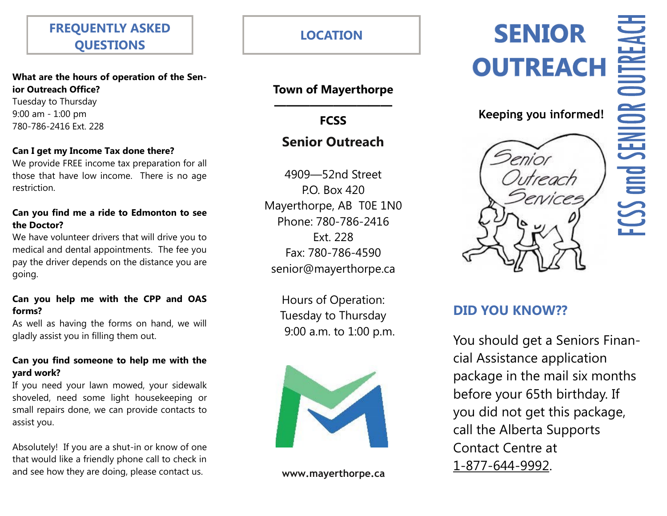# **FREQUENTLY ASKED QUESTIONS**

**What are the hours of operation of the Senior Outreach Office?**

Tuesday to Thursday 9:00 am - 1:00 pm 780-786-2416 Ext. 228

#### **Can I get my Income Tax done there?**

We provide FREE income tax preparation for all those that have low income. There is no age restriction.

#### **Can you find me a ride to Edmonton to see the Doctor?**

We have volunteer drivers that will drive you to medical and dental appointments. The fee you pay the driver depends on the distance you are going.

#### **Can you help me with the CPP and OAS forms?**

As well as having the forms on hand, we will gladly assist you in filling them out.

#### **Can you find someone to help me with the yard work?**

If you need your lawn mowed, your sidewalk shoveled, need some light housekeeping or small repairs done, we can provide contacts to assist you.

Absolutely! If you are a shut-in or know of one that would like a friendly phone call to check in and see how they are doing, please contact us.

**LOCATION**

## **Town of Mayerthorpe ——————————**

**FCSS** 

# **Senior Outreach**

4909—52nd Street P.O. Box 420 Mayerthorpe, AB T0E 1N0 Phone: 780-786-2416 Ext. 228 Fax: 780-786-4590 senior@mayerthorpe.ca

> Hours of Operation: Tuesday to Thursday 9:00 a.m. to 1:00 p.m.



**www.mayerthorpe.ca**

# **SENIOR OUTREACH**



## **Keeping you informed!**

*itrench* 



You should get a Seniors Financial Assistance application package in the mail six months before your 65th birthday. If you did not get this package, call the Alberta Supports Contact Centre at [1-877-644-9992.](tel:+1-877-644-9992)